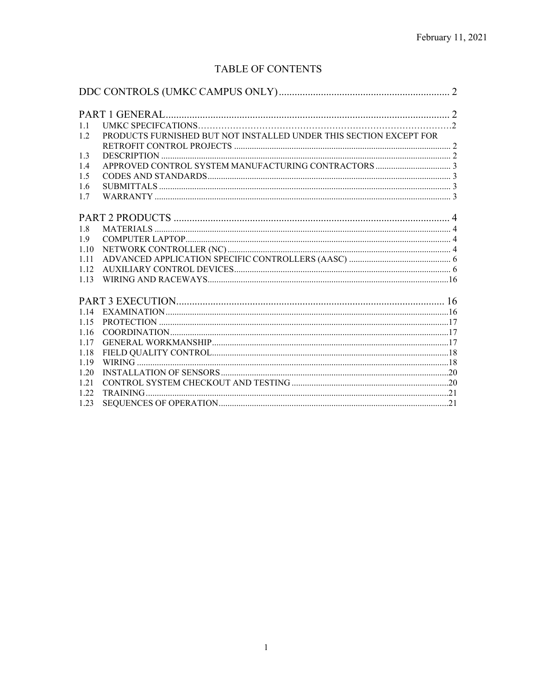# **TABLE OF CONTENTS**

| 1.1   |                                                                    |  |
|-------|--------------------------------------------------------------------|--|
| 1.2.  | PRODUCTS FURNISHED BUT NOT INSTALLED UNDER THIS SECTION EXCEPT FOR |  |
|       |                                                                    |  |
| 1.3   |                                                                    |  |
| 1.4   |                                                                    |  |
| 1.5   |                                                                    |  |
| 1.6   |                                                                    |  |
| 1.7   |                                                                    |  |
|       |                                                                    |  |
| 1.8   |                                                                    |  |
| 1.9   |                                                                    |  |
| 1.10  |                                                                    |  |
| 1.11  |                                                                    |  |
| 1.12  |                                                                    |  |
| 1.13  |                                                                    |  |
|       |                                                                    |  |
| 1.14  |                                                                    |  |
| 1.15  |                                                                    |  |
| 1.16  |                                                                    |  |
| 1.17  |                                                                    |  |
| 1.18  |                                                                    |  |
| 1.19  |                                                                    |  |
| 1.20  |                                                                    |  |
| 1.21  |                                                                    |  |
| 1.22. |                                                                    |  |
| 1.23  |                                                                    |  |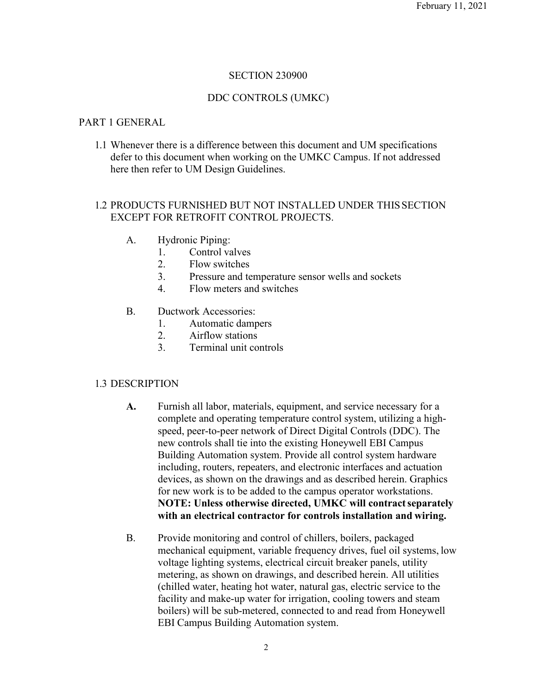# SECTION 230900

# DDC CONTROLS (UMKC)

## PART 1 GENERAL

1.1 Whenever there is a difference between this document and UM specifications defer to this document when working on the UMKC Campus. If not addressed here then refer to UM Design Guidelines.

# 1.2 PRODUCTS FURNISHED BUT NOT INSTALLED UNDER THISSECTION EXCEPT FOR RETROFIT CONTROL PROJECTS.

- A. Hydronic Piping:
	- 1. Control valves
	- 2. Flow switches
	- 3. Pressure and temperature sensor wells and sockets
	- 4. Flow meters and switches
- B. Ductwork Accessories:
	- 1. Automatic dampers
	- 2. Airflow stations
	- 3. Terminal unit controls

# 1.3 DESCRIPTION

- **A.** Furnish all labor, materials, equipment, and service necessary for a complete and operating temperature control system, utilizing a highspeed, peer-to-peer network of Direct Digital Controls (DDC). The new controls shall tie into the existing Honeywell EBI Campus Building Automation system. Provide all control system hardware including, routers, repeaters, and electronic interfaces and actuation devices, as shown on the drawings and as described herein. Graphics for new work is to be added to the campus operator workstations. **NOTE: Unless otherwise directed, UMKC will contractseparately with an electrical contractor for controls installation and wiring.**
- B. Provide monitoring and control of chillers, boilers, packaged mechanical equipment, variable frequency drives, fuel oil systems, low voltage lighting systems, electrical circuit breaker panels, utility metering, as shown on drawings, and described herein. All utilities (chilled water, heating hot water, natural gas, electric service to the facility and make-up water for irrigation, cooling towers and steam boilers) will be sub-metered, connected to and read from Honeywell EBI Campus Building Automation system.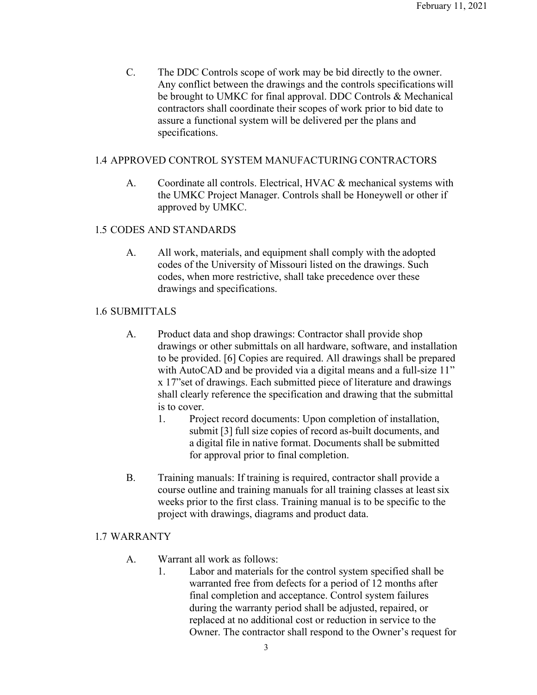C. The DDC Controls scope of work may be bid directly to the owner. Any conflict between the drawings and the controls specifications will be brought to UMKC for final approval. DDC Controls & Mechanical contractors shall coordinate their scopes of work prior to bid date to assure a functional system will be delivered per the plans and specifications.

# 1.4 APPROVED CONTROL SYSTEM MANUFACTURING CONTRACTORS

A. Coordinate all controls. Electrical, HVAC & mechanical systems with the UMKC Project Manager. Controls shall be Honeywell or other if approved by UMKC.

# 1.5 CODES AND STANDARDS

A. All work, materials, and equipment shall comply with the adopted codes of the University of Missouri listed on the drawings. Such codes, when more restrictive, shall take precedence over these drawings and specifications.

# 1.6 SUBMITTALS

- A. Product data and shop drawings: Contractor shall provide shop drawings or other submittals on all hardware, software, and installation to be provided. [6] Copies are required. All drawings shall be prepared with AutoCAD and be provided via a digital means and a full-size 11" x 17"set of drawings. Each submitted piece of literature and drawings shall clearly reference the specification and drawing that the submittal is to cover.
	- 1. Project record documents: Upon completion of installation, submit [3] full size copies of record as-built documents, and a digital file in native format. Documents shall be submitted for approval prior to final completion.
- B. Training manuals: If training is required, contractor shall provide a course outline and training manuals for all training classes at leastsix weeks prior to the first class. Training manual is to be specific to the project with drawings, diagrams and product data.

### 1.7 WARRANTY

- A. Warrant all work as follows:
	- 1. Labor and materials for the control system specified shall be warranted free from defects for a period of 12 months after final completion and acceptance. Control system failures during the warranty period shall be adjusted, repaired, or replaced at no additional cost or reduction in service to the Owner. The contractor shall respond to the Owner's request for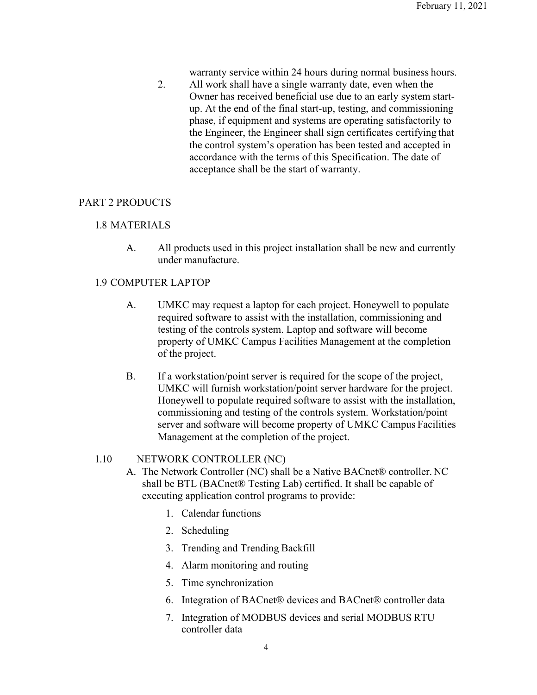warranty service within 24 hours during normal business hours.

2. All work shall have a single warranty date, even when the Owner has received beneficial use due to an early system startup. At the end of the final start-up, testing, and commissioning phase, if equipment and systems are operating satisfactorily to the Engineer, the Engineer shall sign certificates certifying that the control system's operation has been tested and accepted in accordance with the terms of this Specification. The date of acceptance shall be the start of warranty.

### PART 2 PRODUCTS

#### 1.8 MATERIALS

A. All products used in this project installation shall be new and currently under manufacture.

### 1.9 COMPUTER LAPTOP

- A. UMKC may request a laptop for each project. Honeywell to populate required software to assist with the installation, commissioning and testing of the controls system. Laptop and software will become property of UMKC Campus Facilities Management at the completion of the project.
- B. If a workstation/point server is required for the scope of the project, UMKC will furnish workstation/point server hardware for the project. Honeywell to populate required software to assist with the installation, commissioning and testing of the controls system. Workstation/point server and software will become property of UMKC Campus Facilities Management at the completion of the project.

### 1.10 NETWORK CONTROLLER (NC)

- A. The Network Controller (NC) shall be a Native BACnet® controller. NC shall be BTL (BACnet® Testing Lab) certified. It shall be capable of executing application control programs to provide:
	- 1. Calendar functions
	- 2. Scheduling
	- 3. Trending and Trending Backfill
	- 4. Alarm monitoring and routing
	- 5. Time synchronization
	- 6. Integration of BACnet® devices and BACnet® controller data
	- 7. Integration of MODBUS devices and serial MODBUS RTU controller data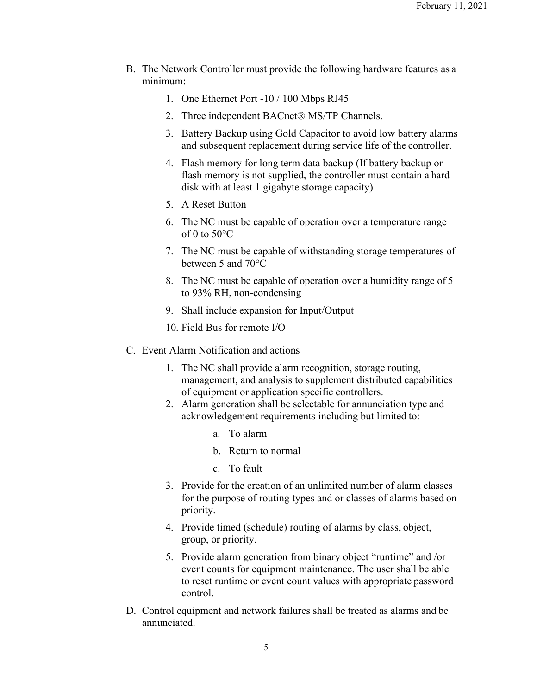- B. The Network Controller must provide the following hardware features as a minimum:
	- 1. One Ethernet Port -10 / 100 Mbps RJ45
	- 2. Three independent BACnet® MS/TP Channels.
	- 3. Battery Backup using Gold Capacitor to avoid low battery alarms and subsequent replacement during service life of the controller.
	- 4. Flash memory for long term data backup (If battery backup or flash memory is not supplied, the controller must contain a hard disk with at least 1 gigabyte storage capacity)
	- 5. A Reset Button
	- 6. The NC must be capable of operation over a temperature range of 0 to  $50^{\circ}$ C
	- 7. The NC must be capable of withstanding storage temperatures of between 5 and 70°C
	- 8. The NC must be capable of operation over a humidity range of 5 to 93% RH, non-condensing
	- 9. Shall include expansion for Input/Output
	- 10. Field Bus for remote I/O
- C. Event Alarm Notification and actions
	- 1. The NC shall provide alarm recognition, storage routing, management, and analysis to supplement distributed capabilities of equipment or application specific controllers.
	- 2. Alarm generation shall be selectable for annunciation type and acknowledgement requirements including but limited to:
		- a. To alarm
		- b. Return to normal
		- c. To fault
	- 3. Provide for the creation of an unlimited number of alarm classes for the purpose of routing types and or classes of alarms based on priority.
	- 4. Provide timed (schedule) routing of alarms by class, object, group, or priority.
	- 5. Provide alarm generation from binary object "runtime" and /or event counts for equipment maintenance. The user shall be able to reset runtime or event count values with appropriate password control.
- D. Control equipment and network failures shall be treated as alarms and be annunciated.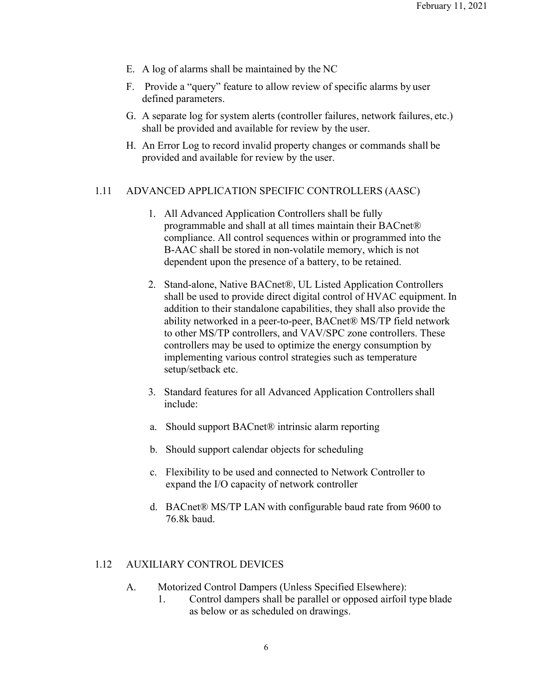- E. A log of alarms shall be maintained by the NC
- F. Provide a "query" feature to allow review of specific alarms by user defined parameters.
- G. A separate log for system alerts (controller failures, network failures, etc.) shall be provided and available for review by the user.
- H. An Error Log to record invalid property changes or commands shall be provided and available for review by the user.

### 1.11 ADVANCED APPLICATION SPECIFIC CONTROLLERS (AASC)

- 1. All Advanced Application Controllers shall be fully programmable and shall at all times maintain their BACnet® compliance. All control sequences within or programmed into the B-AAC shall be stored in non-volatile memory, which is not dependent upon the presence of a battery, to be retained.
- 2. Stand-alone, Native BACnet®, UL Listed Application Controllers shall be used to provide direct digital control of HVAC equipment. In addition to their standalone capabilities, they shall also provide the ability networked in a peer-to-peer, BACnet® MS/TP field network to other MS/TP controllers, and VAV/SPC zone controllers. These controllers may be used to optimize the energy consumption by implementing various control strategies such as temperature setup/setback etc.
- 3. Standard features for all Advanced Application Controllers shall include:
- a. Should support BACnet® intrinsic alarm reporting
- b. Should support calendar objects for scheduling
- c. Flexibility to be used and connected to Network Controller to expand the I/O capacity of network controller
- d. BACnet® MS/TP LAN with configurable baud rate from 9600 to 76.8k baud.

#### 1.12 AUXILIARY CONTROL DEVICES

- A. Motorized Control Dampers (Unless Specified Elsewhere):
	- 1. Control dampers shall be parallel or opposed airfoil type blade as below or as scheduled on drawings.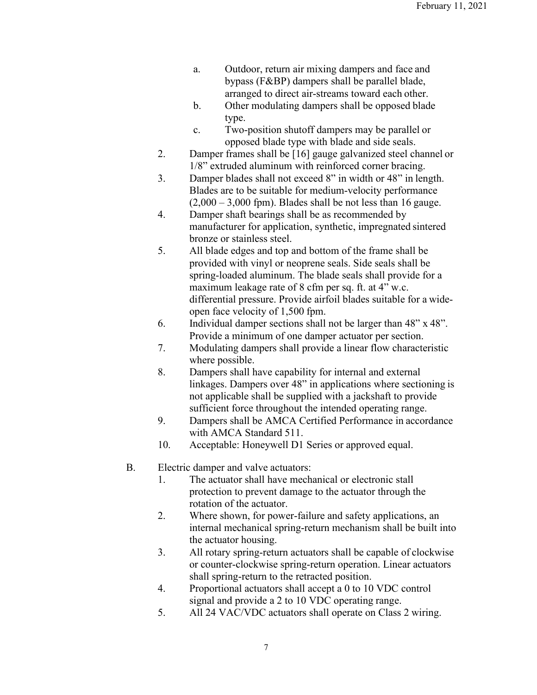- a. Outdoor, return air mixing dampers and face and bypass (F&BP) dampers shall be parallel blade, arranged to direct air-streams toward each other.
- b. Other modulating dampers shall be opposed blade type.
- c. Two-position shutoff dampers may be parallel or opposed blade type with blade and side seals.
- 2. Damper frames shall be [16] gauge galvanized steel channel or 1/8" extruded aluminum with reinforced corner bracing.
- 3. Damper blades shall not exceed 8" in width or 48" in length. Blades are to be suitable for medium-velocity performance  $(2,000 - 3,000$  fpm). Blades shall be not less than 16 gauge.
- 4. Damper shaft bearings shall be as recommended by manufacturer for application, synthetic, impregnated sintered bronze or stainless steel.
- 5. All blade edges and top and bottom of the frame shall be provided with vinyl or neoprene seals. Side seals shall be spring-loaded aluminum. The blade seals shall provide for a maximum leakage rate of 8 cfm per sq. ft. at 4" w.c. differential pressure. Provide airfoil blades suitable for a wideopen face velocity of 1,500 fpm.
- 6. Individual damper sections shall not be larger than 48" x 48". Provide a minimum of one damper actuator per section.
- 7. Modulating dampers shall provide a linear flow characteristic where possible.
- 8. Dampers shall have capability for internal and external linkages. Dampers over 48" in applications where sectioning is not applicable shall be supplied with a jackshaft to provide sufficient force throughout the intended operating range.
- 9. Dampers shall be AMCA Certified Performance in accordance with AMCA Standard 511.
- 10. Acceptable: Honeywell D1 Series or approved equal.
- B. Electric damper and valve actuators:
	- 1. The actuator shall have mechanical or electronic stall protection to prevent damage to the actuator through the rotation of the actuator.
	- 2. Where shown, for power-failure and safety applications, an internal mechanical spring-return mechanism shall be built into the actuator housing.
	- 3. All rotary spring-return actuators shall be capable of clockwise or counter-clockwise spring-return operation. Linear actuators shall spring-return to the retracted position.
	- 4. Proportional actuators shall accept a 0 to 10 VDC control signal and provide a 2 to 10 VDC operating range.
	- 5. All 24 VAC/VDC actuators shall operate on Class 2 wiring.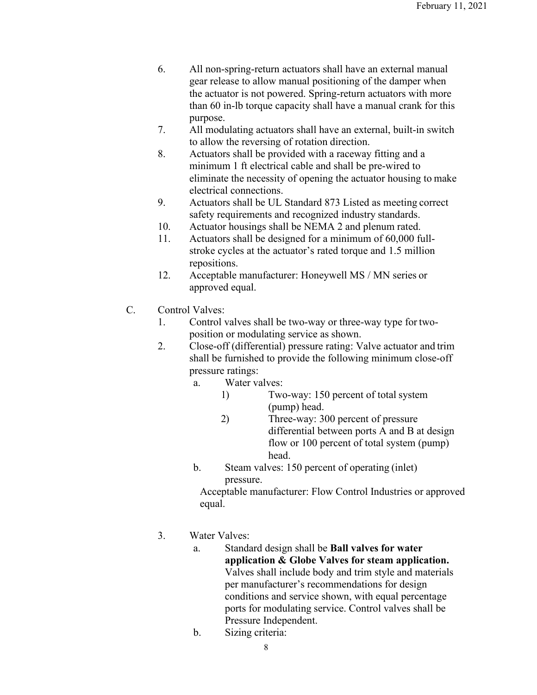- 6. All non-spring-return actuators shall have an external manual gear release to allow manual positioning of the damper when the actuator is not powered. Spring-return actuators with more than 60 in-lb torque capacity shall have a manual crank for this purpose.
- 7. All modulating actuators shall have an external, built-in switch to allow the reversing of rotation direction.
- 8. Actuators shall be provided with a raceway fitting and a minimum 1 ft electrical cable and shall be pre-wired to eliminate the necessity of opening the actuator housing to make electrical connections.
- 9. Actuators shall be UL Standard 873 Listed as meeting correct safety requirements and recognized industry standards.
- 10. Actuator housings shall be NEMA 2 and plenum rated.
- 11. Actuators shall be designed for a minimum of 60,000 fullstroke cycles at the actuator's rated torque and 1.5 million repositions.
- 12. Acceptable manufacturer: Honeywell MS / MN series or approved equal.
- C. Control Valves:
	- 1. Control valves shall be two-way or three-way type for twoposition or modulating service as shown.
	- 2. Close-off (differential) pressure rating: Valve actuator and trim shall be furnished to provide the following minimum close-off pressure ratings:
		- a. Water valves:
			- 1) Two-way: 150 percent of total system (pump) head.
			- 2) Three-way: 300 percent of pressure differential between ports A and B at design flow or 100 percent of total system (pump) head.
		- b. Steam valves: 150 percent of operating (inlet) pressure.

Acceptable manufacturer: Flow Control Industries or approved equal.

- 3. Water Valves:
	- a. Standard design shall be **Ball valves for water application & Globe Valves for steam application.**  Valves shall include body and trim style and materials per manufacturer's recommendations for design conditions and service shown, with equal percentage ports for modulating service. Control valves shall be Pressure Independent.
	- b. Sizing criteria: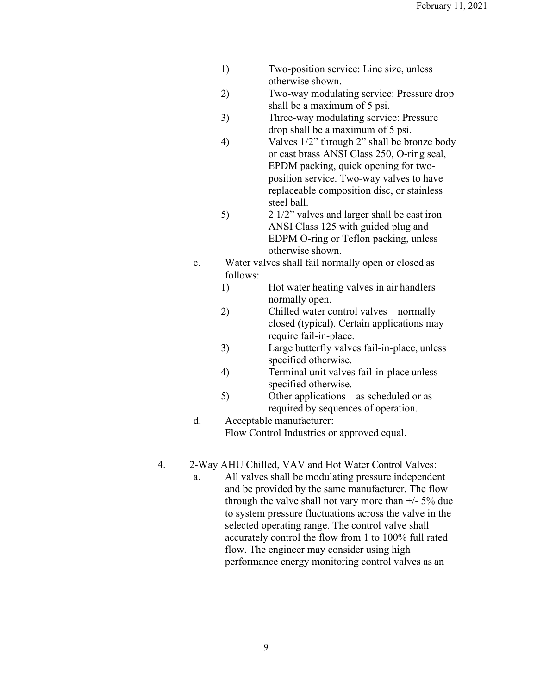- 1) Two-position service: Line size, unless otherwise shown.
- 2) Two-way modulating service: Pressure drop shall be a maximum of 5 psi.
- 3) Three-way modulating service: Pressure drop shall be a maximum of 5 psi.
- 4) Valves 1/2" through 2" shall be bronze body or cast brass ANSI Class 250, O-ring seal, EPDM packing, quick opening for twoposition service. Two-way valves to have replaceable composition disc, or stainless steel ball.
- 5) 2 1/2" valves and larger shall be cast iron ANSI Class 125 with guided plug and EDPM O-ring or Teflon packing, unless otherwise shown.
- c. Water valves shall fail normally open or closed as follows:
	- 1) Hot water heating valves in air handlers normally open.
	- 2) Chilled water control valves—normally closed (typical). Certain applications may require fail-in-place.
	- 3) Large butterfly valves fail-in-place, unless specified otherwise.
	- 4) Terminal unit valves fail-in-place unless specified otherwise.
	- 5) Other applications—as scheduled or as required by sequences of operation.
- d. Acceptable manufacturer: Flow Control Industries or approved equal.
- 4. 2-Way AHU Chilled, VAV and Hot Water Control Valves:
	- a. All valves shall be modulating pressure independent and be provided by the same manufacturer. The flow through the valve shall not vary more than +/- 5% due to system pressure fluctuations across the valve in the selected operating range. The control valve shall accurately control the flow from 1 to 100% full rated flow. The engineer may consider using high performance energy monitoring control valves as an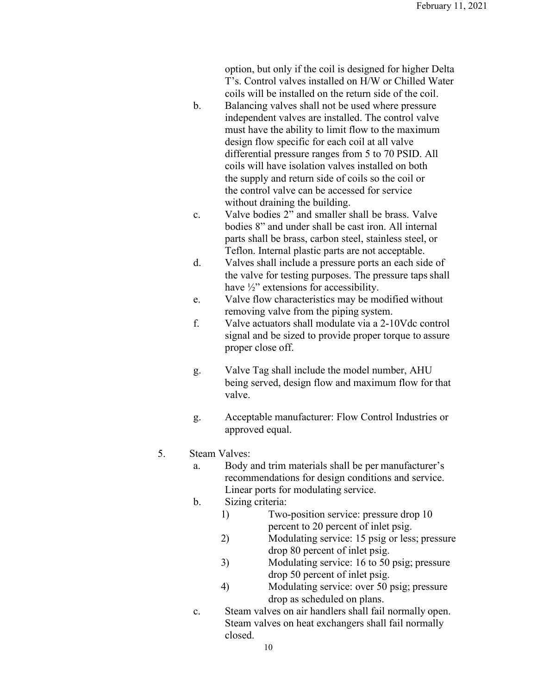option, but only if the coil is designed for higher Delta T's. Control valves installed on H/W or Chilled Water coils will be installed on the return side of the coil.

- b. Balancing valves shall not be used where pressure independent valves are installed. The control valve must have the ability to limit flow to the maximum design flow specific for each coil at all valve differential pressure ranges from 5 to 70 PSID. All coils will have isolation valves installed on both the supply and return side of coils so the coil or the control valve can be accessed for service without draining the building.
- c. Valve bodies 2" and smaller shall be brass. Valve bodies 8" and under shall be cast iron. All internal parts shall be brass, carbon steel, stainless steel, or Teflon. Internal plastic parts are not acceptable.
- d. Valves shall include a pressure ports an each side of the valve for testing purposes. The pressure taps shall have  $\frac{1}{2}$ " extensions for accessibility.
- e. Valve flow characteristics may be modified without removing valve from the piping system.
- f. Valve actuators shall modulate via a 2-10Vdc control signal and be sized to provide proper torque to assure proper close off.
- g. Valve Tag shall include the model number, AHU being served, design flow and maximum flow for that valve.
- g. Acceptable manufacturer: Flow Control Industries or approved equal.

# 5. Steam Valves:

- a. Body and trim materials shall be per manufacturer's recommendations for design conditions and service. Linear ports for modulating service.
- b. Sizing criteria:
	- 1) Two-position service: pressure drop 10 percent to 20 percent of inlet psig.
	- 2) Modulating service: 15 psig or less; pressure drop 80 percent of inlet psig.
	- 3) Modulating service: 16 to 50 psig; pressure drop 50 percent of inlet psig.
	- 4) Modulating service: over 50 psig; pressure drop as scheduled on plans.
- c. Steam valves on air handlers shall fail normally open. Steam valves on heat exchangers shall fail normally closed.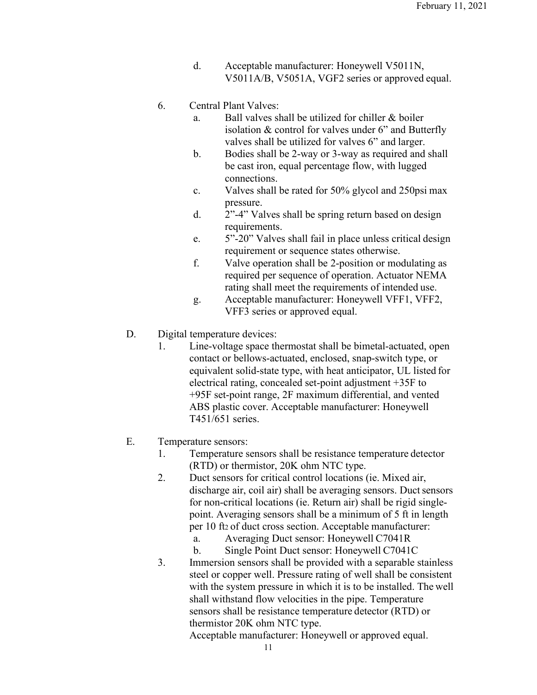d. Acceptable manufacturer: Honeywell V5011N, V5011A/B, V5051A, VGF2 series or approved equal.

#### 6. Central Plant Valves:

- a. Ball valves shall be utilized for chiller & boiler isolation & control for valves under 6" and Butterfly valves shall be utilized for valves 6" and larger.
- b. Bodies shall be 2-way or 3-way as required and shall be cast iron, equal percentage flow, with lugged connections.
- c. Valves shall be rated for 50% glycol and 250psi max pressure.
- d. 2"-4" Valves shall be spring return based on design requirements.
- e. 5"-20" Valves shall fail in place unless critical design requirement or sequence states otherwise.
- f. Valve operation shall be 2-position or modulating as required per sequence of operation. Actuator NEMA rating shall meet the requirements of intended use.
- g. Acceptable manufacturer: Honeywell VFF1, VFF2, VFF3 series or approved equal.

### D. Digital temperature devices:

1. Line-voltage space thermostat shall be bimetal-actuated, open contact or bellows-actuated, enclosed, snap-switch type, or equivalent solid-state type, with heat anticipator, UL listed for electrical rating, concealed set-point adjustment +35F to +95F set-point range, 2F maximum differential, and vented ABS plastic cover. Acceptable manufacturer: Honeywell T451/651 series.

### E. Temperature sensors:

- 1. Temperature sensors shall be resistance temperature detector (RTD) or thermistor, 20K ohm NTC type.
- 2. Duct sensors for critical control locations (ie. Mixed air, discharge air, coil air) shall be averaging sensors. Duct sensors for non-critical locations (ie. Return air) shall be rigid singlepoint. Averaging sensors shall be a minimum of 5 ft in length per 10 ft2 of duct cross section. Acceptable manufacturer:
	- a. Averaging Duct sensor: Honeywell C7041R
	- b. Single Point Duct sensor: Honeywell C7041C
- 3. Immersion sensors shall be provided with a separable stainless steel or copper well. Pressure rating of well shall be consistent with the system pressure in which it is to be installed. The well shall withstand flow velocities in the pipe. Temperature sensors shall be resistance temperature detector (RTD) or thermistor 20K ohm NTC type.

Acceptable manufacturer: Honeywell or approved equal.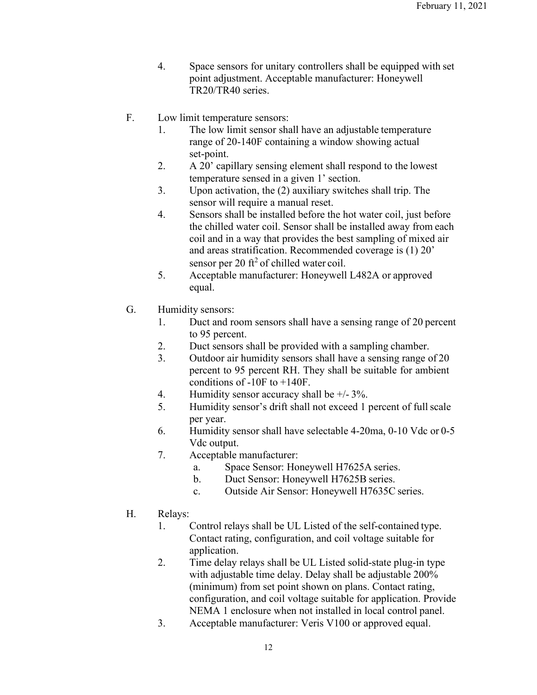- 4. Space sensors for unitary controllers shall be equipped with set point adjustment. Acceptable manufacturer: Honeywell TR20/TR40 series.
- F. Low limit temperature sensors:
	- 1. The low limit sensor shall have an adjustable temperature range of 20-140F containing a window showing actual set-point.
	- 2. A 20' capillary sensing element shall respond to the lowest temperature sensed in a given 1' section.
	- 3. Upon activation, the (2) auxiliary switches shall trip. The sensor will require a manual reset.
	- 4. Sensors shall be installed before the hot water coil, just before the chilled water coil. Sensor shall be installed away from each coil and in a way that provides the best sampling of mixed air and areas stratification. Recommended coverage is (1) 20' sensor per 20 ft<sup>2</sup> of chilled water coil.
	- 5. Acceptable manufacturer: Honeywell L482A or approved equal.
- G. Humidity sensors:
	- 1. Duct and room sensors shall have a sensing range of 20 percent to 95 percent.
	- 2. Duct sensors shall be provided with a sampling chamber.
	- 3. Outdoor air humidity sensors shall have a sensing range of 20 percent to 95 percent RH. They shall be suitable for ambient conditions of -10F to +140F.
	- 4. Humidity sensor accuracy shall be +/- 3%.
	- 5. Humidity sensor's drift shall not exceed 1 percent of fullscale per year.
	- 6. Humidity sensor shall have selectable 4-20ma, 0-10 Vdc or 0-5 Vdc output.
	- 7. Acceptable manufacturer:
		- a. Space Sensor: Honeywell H7625A series.
		- b. Duct Sensor: Honeywell H7625B series.
		- c. Outside Air Sensor: Honeywell H7635C series.
- H. Relays:
	- 1. Control relays shall be UL Listed of the self-contained type. Contact rating, configuration, and coil voltage suitable for application.
	- 2. Time delay relays shall be UL Listed solid-state plug-in type with adjustable time delay. Delay shall be adjustable 200% (minimum) from set point shown on plans. Contact rating, configuration, and coil voltage suitable for application. Provide NEMA 1 enclosure when not installed in local control panel.
	- 3. Acceptable manufacturer: Veris V100 or approved equal.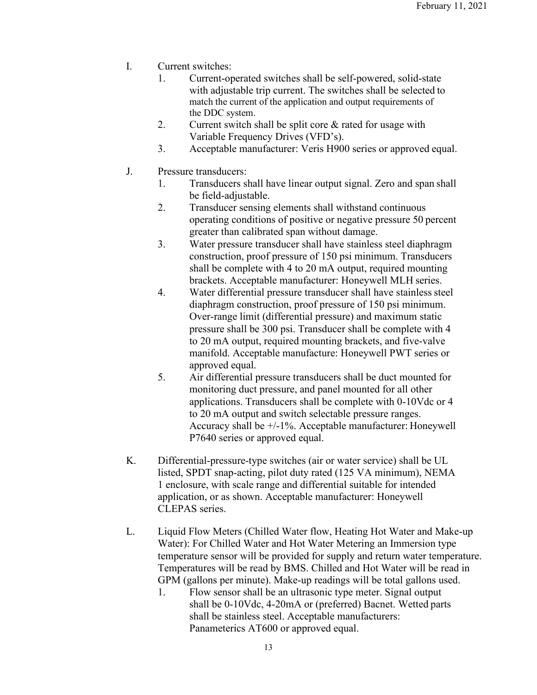- I. Current switches:
	- 1. Current-operated switches shall be self-powered, solid-state with adjustable trip current. The switches shall be selected to match the current of the application and output requirements of the DDC system.
	- 2. Current switch shall be split core  $\&$  rated for usage with Variable Frequency Drives (VFD's).
	- 3. Acceptable manufacturer: Veris H900 series or approved equal.
- J. Pressure transducers:
	- 1. Transducers shall have linear output signal. Zero and span shall be field-adjustable.
	- 2. Transducer sensing elements shall withstand continuous operating conditions of positive or negative pressure 50 percent greater than calibrated span without damage.
	- 3. Water pressure transducer shall have stainless steel diaphragm construction, proof pressure of 150 psi minimum. Transducers shall be complete with 4 to 20 mA output, required mounting brackets. Acceptable manufacturer: Honeywell MLH series.
	- 4. Water differential pressure transducer shall have stainless steel diaphragm construction, proof pressure of 150 psi minimum. Over-range limit (differential pressure) and maximum static pressure shall be 300 psi. Transducer shall be complete with 4 to 20 mA output, required mounting brackets, and five-valve manifold. Acceptable manufacture: Honeywell PWT series or approved equal.
	- 5. Air differential pressure transducers shall be duct mounted for monitoring duct pressure, and panel mounted for all other applications. Transducers shall be complete with 0-10Vdc or 4 to 20 mA output and switch selectable pressure ranges. Accuracy shall be +/-1%. Acceptable manufacturer: Honeywell P7640 series or approved equal.
- K. Differential-pressure-type switches (air or water service) shall be UL listed, SPDT snap-acting, pilot duty rated (125 VA minimum), NEMA 1 enclosure, with scale range and differential suitable for intended application, or as shown. Acceptable manufacturer: Honeywell CLEPAS series.
- L. Liquid Flow Meters (Chilled Water flow, Heating Hot Water and Make-up Water): For Chilled Water and Hot Water Metering an Immersion type temperature sensor will be provided for supply and return water temperature. Temperatures will be read by BMS. Chilled and Hot Water will be read in GPM (gallons per minute). Make-up readings will be total gallons used.
	- 1. Flow sensor shall be an ultrasonic type meter. Signal output shall be 0-10Vdc, 4-20mA or (preferred) Bacnet. Wetted parts shall be stainless steel. Acceptable manufacturers: Panameterics AT600 or approved equal.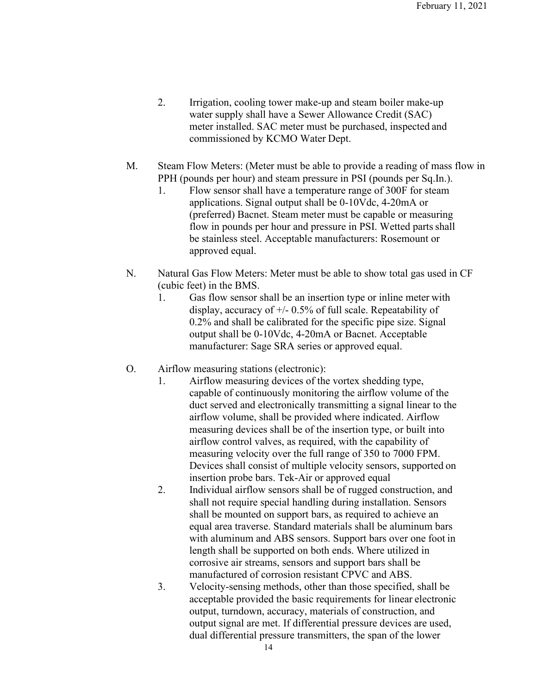- 2. Irrigation, cooling tower make-up and steam boiler make-up water supply shall have a Sewer Allowance Credit (SAC) meter installed. SAC meter must be purchased, inspected and commissioned by KCMO Water Dept.
- M. Steam Flow Meters: (Meter must be able to provide a reading of mass flow in PPH (pounds per hour) and steam pressure in PSI (pounds per Sq.In.).
	- 1. Flow sensor shall have a temperature range of 300F for steam applications. Signal output shall be 0-10Vdc, 4-20mA or (preferred) Bacnet. Steam meter must be capable or measuring flow in pounds per hour and pressure in PSI. Wetted parts shall be stainless steel. Acceptable manufacturers: Rosemount or approved equal.
- N. Natural Gas Flow Meters: Meter must be able to show total gas used in CF (cubic feet) in the BMS.
	- 1. Gas flow sensor shall be an insertion type or inline meter with display, accuracy of  $\pm$ /- 0.5% of full scale. Repeatability of 0.2% and shall be calibrated for the specific pipe size. Signal output shall be 0-10Vdc, 4-20mA or Bacnet. Acceptable manufacturer: Sage SRA series or approved equal.
- O. Airflow measuring stations (electronic):
	- 1. Airflow measuring devices of the vortex shedding type, capable of continuously monitoring the airflow volume of the duct served and electronically transmitting a signal linear to the airflow volume, shall be provided where indicated. Airflow measuring devices shall be of the insertion type, or built into airflow control valves, as required, with the capability of measuring velocity over the full range of 350 to 7000 FPM. Devices shall consist of multiple velocity sensors, supported on insertion probe bars. Tek-Air or approved equal
	- 2. Individual airflow sensors shall be of rugged construction, and shall not require special handling during installation. Sensors shall be mounted on support bars, as required to achieve an equal area traverse. Standard materials shall be aluminum bars with aluminum and ABS sensors. Support bars over one foot in length shall be supported on both ends. Where utilized in corrosive air streams, sensors and support bars shall be manufactured of corrosion resistant CPVC and ABS.
	- 3. Velocity-sensing methods, other than those specified, shall be acceptable provided the basic requirements for linear electronic output, turndown, accuracy, materials of construction, and output signal are met. If differential pressure devices are used, dual differential pressure transmitters, the span of the lower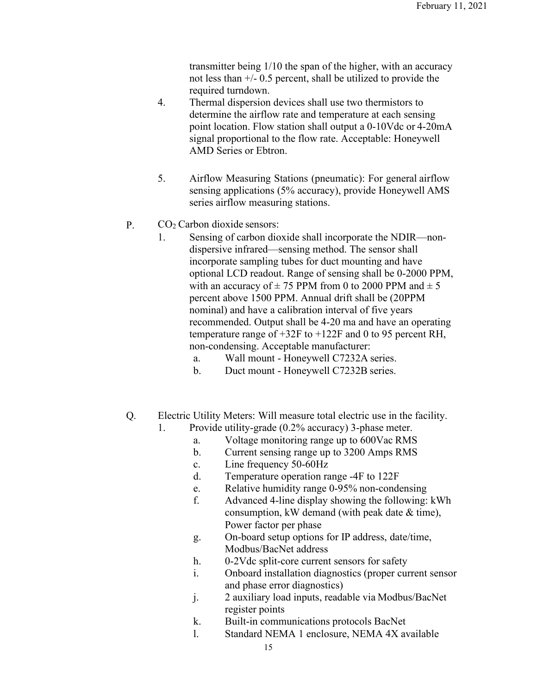transmitter being 1/10 the span of the higher, with an accuracy not less than +/- 0.5 percent, shall be utilized to provide the required turndown.

- 4. Thermal dispersion devices shall use two thermistors to determine the airflow rate and temperature at each sensing point location. Flow station shall output a 0-10Vdc or 4-20mA signal proportional to the flow rate. Acceptable: Honeywell AMD Series or Ebtron.
- 5. Airflow Measuring Stations (pneumatic): For general airflow sensing applications (5% accuracy), provide Honeywell AMS series airflow measuring stations.
- P. CO<sub>2</sub> Carbon dioxide sensors:
	- 1. Sensing of carbon dioxide shall incorporate the NDIR—nondispersive infrared—sensing method. The sensor shall incorporate sampling tubes for duct mounting and have optional LCD readout. Range of sensing shall be 0-2000 PPM, with an accuracy of  $\pm$  75 PPM from 0 to 2000 PPM and  $\pm$  5 percent above 1500 PPM. Annual drift shall be (20PPM nominal) and have a calibration interval of five years recommended. Output shall be 4-20 ma and have an operating temperature range of +32F to +122F and 0 to 95 percent RH, non-condensing. Acceptable manufacturer:
		- a. Wall mount Honeywell C7232A series.
		- b. Duct mount Honeywell C7232B series.
- Q. Electric Utility Meters: Will measure total electric use in the facility.
	- 1. Provide utility-grade (0.2% accuracy) 3-phase meter.
		- a. Voltage monitoring range up to 600Vac RMS
		- b. Current sensing range up to 3200 Amps RMS
		- c. Line frequency 50-60Hz
		- d. Temperature operation range -4F to 122F
		- e. Relative humidity range 0-95% non-condensing
		- f. Advanced 4-line display showing the following: kWh consumption, kW demand (with peak date & time), Power factor per phase
		- g. On-board setup options for IP address, date/time, Modbus/BacNet address
		- h. 0-2Vdc split-core current sensors for safety
		- i. Onboard installation diagnostics (proper current sensor and phase error diagnostics)
		- j. 2 auxiliary load inputs, readable via Modbus/BacNet register points
		- k. Built-in communications protocols BacNet
		- l. Standard NEMA 1 enclosure, NEMA 4X available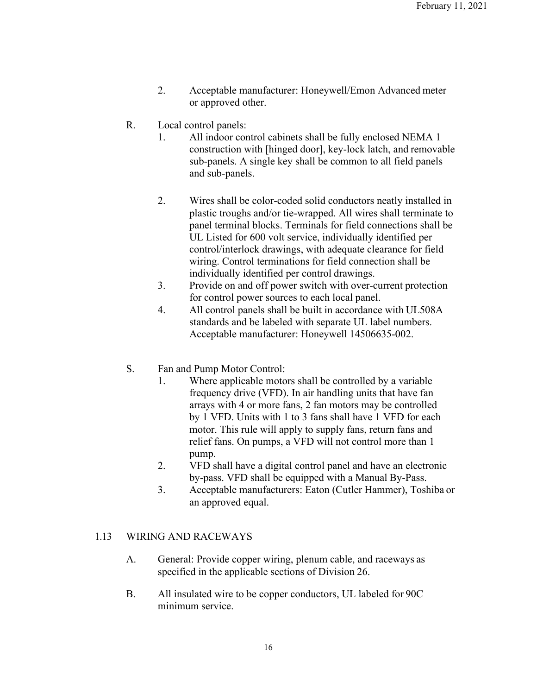- 2. Acceptable manufacturer: Honeywell/Emon Advanced meter or approved other.
- R. Local control panels:
	- 1. All indoor control cabinets shall be fully enclosed NEMA 1 construction with [hinged door], key-lock latch, and removable sub-panels. A single key shall be common to all field panels and sub-panels.
	- 2. Wires shall be color-coded solid conductors neatly installed in plastic troughs and/or tie-wrapped. All wires shall terminate to panel terminal blocks. Terminals for field connections shall be UL Listed for 600 volt service, individually identified per control/interlock drawings, with adequate clearance for field wiring. Control terminations for field connection shall be individually identified per control drawings.
	- 3. Provide on and off power switch with over-current protection for control power sources to each local panel.
	- 4. All control panels shall be built in accordance with UL508A standards and be labeled with separate UL label numbers. Acceptable manufacturer: Honeywell 14506635-002.
- S. Fan and Pump Motor Control:
	- 1. Where applicable motors shall be controlled by a variable frequency drive (VFD). In air handling units that have fan arrays with 4 or more fans, 2 fan motors may be controlled by 1 VFD. Units with 1 to 3 fans shall have 1 VFD for each motor. This rule will apply to supply fans, return fans and relief fans. On pumps, a VFD will not control more than 1 pump.
	- 2. VFD shall have a digital control panel and have an electronic by-pass. VFD shall be equipped with a Manual By-Pass.
	- 3. Acceptable manufacturers: Eaton (Cutler Hammer), Toshiba or an approved equal.

### 1.13 WIRING AND RACEWAYS

- A. General: Provide copper wiring, plenum cable, and raceways as specified in the applicable sections of Division 26.
- B. All insulated wire to be copper conductors, UL labeled for 90C minimum service.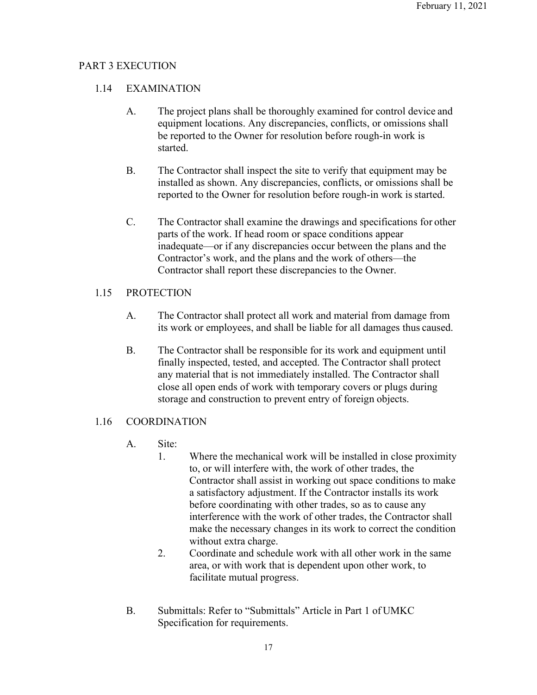# PART 3 EXECUTION

# 1.14 EXAMINATION

- A. The project plans shall be thoroughly examined for control device and equipment locations. Any discrepancies, conflicts, or omissions shall be reported to the Owner for resolution before rough-in work is started.
- B. The Contractor shall inspect the site to verify that equipment may be installed as shown. Any discrepancies, conflicts, or omissions shall be reported to the Owner for resolution before rough-in work is started.
- C. The Contractor shall examine the drawings and specifications for other parts of the work. If head room or space conditions appear inadequate—or if any discrepancies occur between the plans and the Contractor's work, and the plans and the work of others—the Contractor shall report these discrepancies to the Owner.

# 1.15 PROTECTION

- A. The Contractor shall protect all work and material from damage from its work or employees, and shall be liable for all damages thus caused.
- B. The Contractor shall be responsible for its work and equipment until finally inspected, tested, and accepted. The Contractor shall protect any material that is not immediately installed. The Contractor shall close all open ends of work with temporary covers or plugs during storage and construction to prevent entry of foreign objects.

# 1.16 COORDINATION

- A. Site:
	- 1. Where the mechanical work will be installed in close proximity to, or will interfere with, the work of other trades, the Contractor shall assist in working out space conditions to make a satisfactory adjustment. If the Contractor installs its work before coordinating with other trades, so as to cause any interference with the work of other trades, the Contractor shall make the necessary changes in its work to correct the condition without extra charge.
	- 2. Coordinate and schedule work with all other work in the same area, or with work that is dependent upon other work, to facilitate mutual progress.
- B. Submittals: Refer to "Submittals" Article in Part 1 of UMKC Specification for requirements.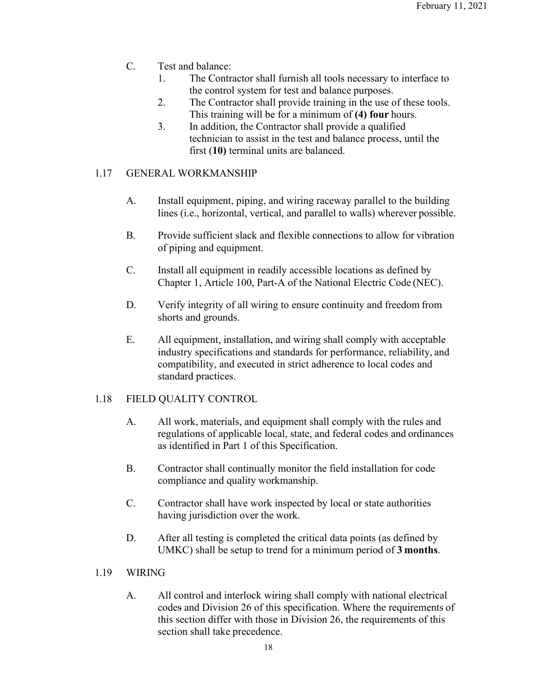- C. Test and balance:
	- 1. The Contractor shall furnish all tools necessary to interface to the control system for test and balance purposes.
	- 2. The Contractor shall provide training in the use of these tools. This training will be for a minimum of **(4) four** hours.
	- 3. In addition, the Contractor shall provide a qualified technician to assist in the test and balance process, until the first (**10)** terminal units are balanced.

## 1.17 GENERAL WORKMANSHIP

- A. Install equipment, piping, and wiring raceway parallel to the building lines (i.e., horizontal, vertical, and parallel to walls) wherever possible.
- B. Provide sufficient slack and flexible connections to allow for vibration of piping and equipment.
- C. Install all equipment in readily accessible locations as defined by Chapter 1, Article 100, Part-A of the National Electric Code (NEC).
- D. Verify integrity of all wiring to ensure continuity and freedom from shorts and grounds.
- E. All equipment, installation, and wiring shall comply with acceptable industry specifications and standards for performance, reliability, and compatibility, and executed in strict adherence to local codes and standard practices.

### 1.18 FIELD QUALITY CONTROL

- A. All work, materials, and equipment shall comply with the rules and regulations of applicable local, state, and federal codes and ordinances as identified in Part 1 of this Specification.
- B. Contractor shall continually monitor the field installation for code compliance and quality workmanship.
- C. Contractor shall have work inspected by local or state authorities having jurisdiction over the work.
- D. After all testing is completed the critical data points (as defined by UMKC) shall be setup to trend for a minimum period of **3 months**.

### 1.19 WIRING

A. All control and interlock wiring shall comply with national electrical codes and Division 26 of this specification. Where the requirements of this section differ with those in Division 26, the requirements of this section shall take precedence.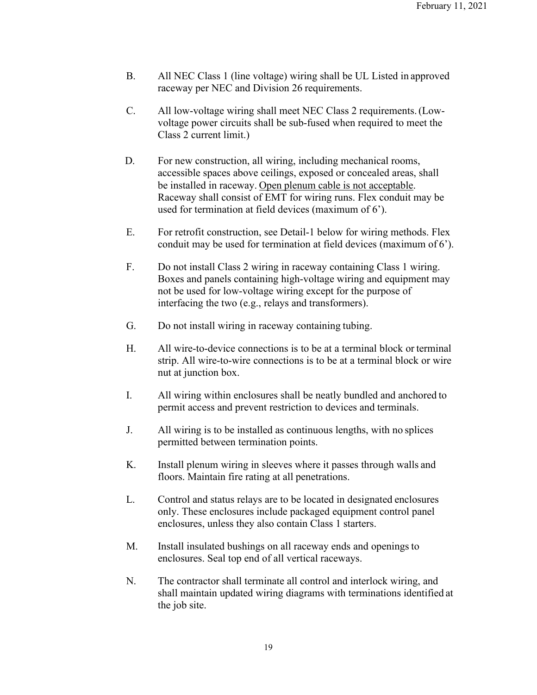- B. All NEC Class 1 (line voltage) wiring shall be UL Listed in approved raceway per NEC and Division 26 requirements.
- C. All low-voltage wiring shall meet NEC Class 2 requirements.(Lowvoltage power circuits shall be sub-fused when required to meet the Class 2 current limit.)
- D. For new construction, all wiring, including mechanical rooms, accessible spaces above ceilings, exposed or concealed areas, shall be installed in raceway. Open plenum cable is not acceptable. Raceway shall consist of EMT for wiring runs. Flex conduit may be used for termination at field devices (maximum of 6').
- E. For retrofit construction, see Detail-1 below for wiring methods. Flex conduit may be used for termination at field devices (maximum of 6').
- F. Do not install Class 2 wiring in raceway containing Class 1 wiring. Boxes and panels containing high-voltage wiring and equipment may not be used for low-voltage wiring except for the purpose of interfacing the two (e.g., relays and transformers).
- G. Do not install wiring in raceway containing tubing.
- H. All wire-to-device connections is to be at a terminal block or terminal strip. All wire-to-wire connections is to be at a terminal block or wire nut at junction box.
- I. All wiring within enclosures shall be neatly bundled and anchored to permit access and prevent restriction to devices and terminals.
- J. All wiring is to be installed as continuous lengths, with no splices permitted between termination points.
- K. Install plenum wiring in sleeves where it passes through walls and floors. Maintain fire rating at all penetrations.
- L. Control and status relays are to be located in designated enclosures only. These enclosures include packaged equipment control panel enclosures, unless they also contain Class 1 starters.
- M. Install insulated bushings on all raceway ends and openings to enclosures. Seal top end of all vertical raceways.
- N. The contractor shall terminate all control and interlock wiring, and shall maintain updated wiring diagrams with terminations identified at the job site.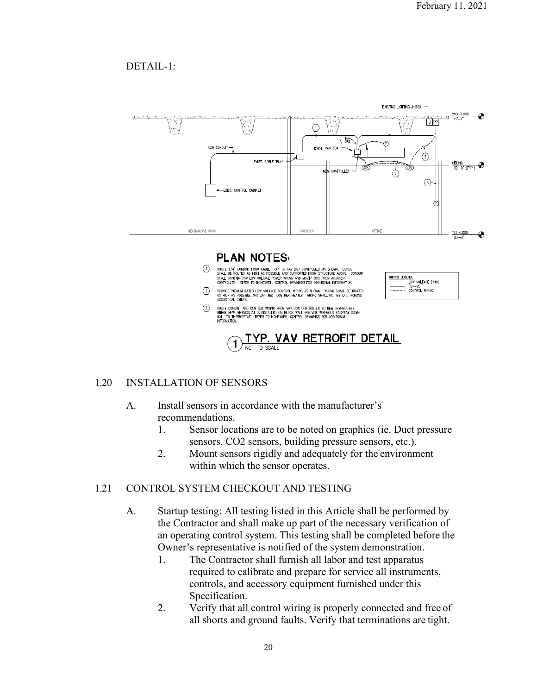# DETAIL-1:



### 1.20 INSTALLATION OF SENSORS

## A. Install sensors in accordance with the manufacturer's recommendations.

- 1. Sensor locations are to be noted on graphics (ie. Duct pressure sensors, CO2 sensors, building pressure sensors, etc.).
- 2. Mount sensors rigidly and adequately for the environment within which the sensor operates.

#### 1.21 CONTROL SYSTEM CHECKOUT AND TESTING

- A. Startup testing: All testing listed in this Article shall be performed by the Contractor and shall make up part of the necessary verification of an operating control system. This testing shall be completed before the Owner's representative is notified of the system demonstration.
	- 1. The Contractor shall furnish all labor and test apparatus required to calibrate and prepare for service all instruments, controls, and accessory equipment furnished under this Specification.
	- 2. Verify that all control wiring is properly connected and free of all shorts and ground faults. Verify that terminations are tight.